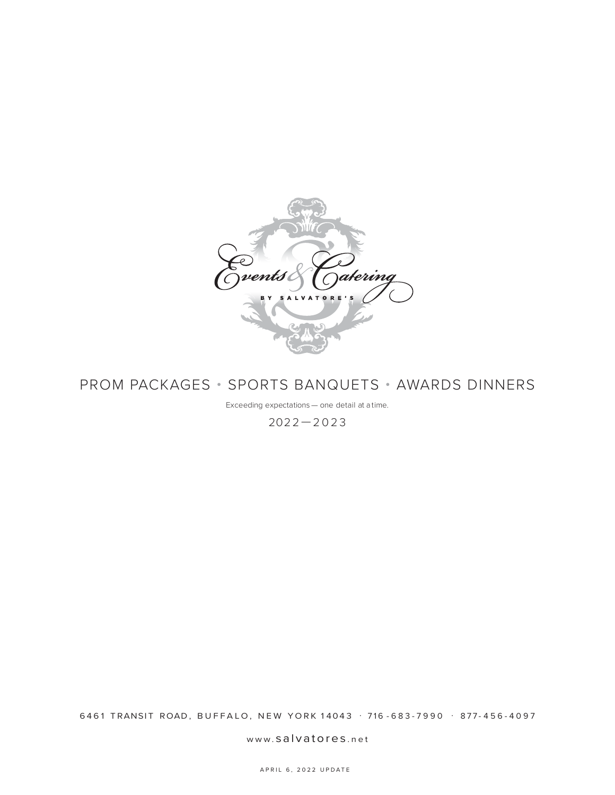

# PROM PACKAGES • SPORTS BANQUETS • AWARDS DINNERS

Exceeding expectations — one detail at a time.

2022—2023

6461 TRANSIT ROAD, BUFFALO, NEW YORK 14043 . 716 - 683 - 7990 . 877 - 456 - 4097

www. salvatores .net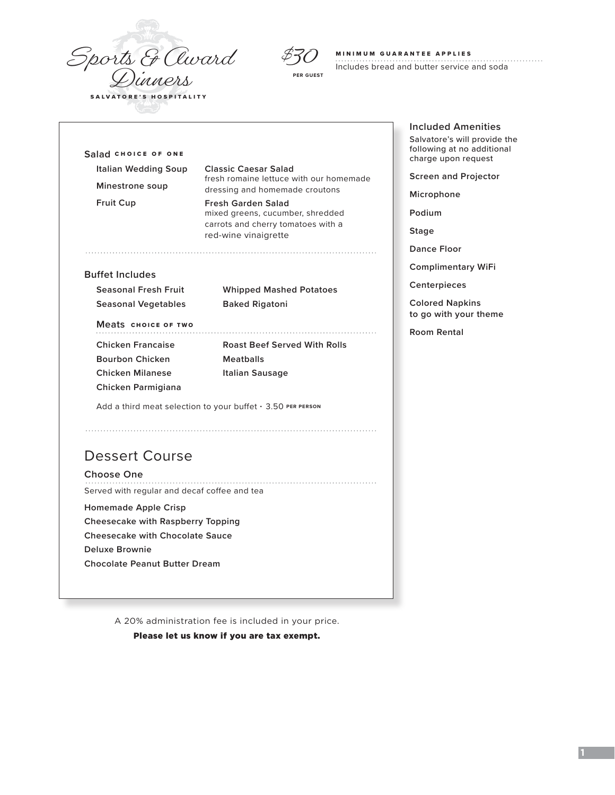Sports & Award



### MINIMUM GUARANTEE APPLIES

Т.

Includes bread and butter service and soda

| Italian Wedding Soup                                             | <b>Classic Caesar Salad</b>                                                                                                 |  |
|------------------------------------------------------------------|-----------------------------------------------------------------------------------------------------------------------------|--|
| Minestrone soup                                                  | fresh romaine lettuce with our homemade<br>dressing and homemade croutons                                                   |  |
| <b>Fruit Cup</b>                                                 | <b>Fresh Garden Salad</b><br>mixed greens, cucumber, shredded<br>carrots and cherry tomatoes with a<br>red-wine vinaigrette |  |
| <b>Buffet Includes</b>                                           |                                                                                                                             |  |
| <b>Seasonal Fresh Fruit</b>                                      | <b>Whipped Mashed Potatoes</b>                                                                                              |  |
| <b>Seasonal Vegetables</b>                                       | <b>Baked Rigatoni</b>                                                                                                       |  |
| Meats CHOICE OF TWO                                              |                                                                                                                             |  |
| <b>Chicken Francaise</b>                                         | <b>Roast Beef Served With Rolls</b>                                                                                         |  |
| <b>Bourbon Chicken</b>                                           | <b>Meatballs</b>                                                                                                            |  |
| <b>Chicken Milanese</b><br>Chicken Parmigiana                    | <b>Italian Sausage</b>                                                                                                      |  |
|                                                                  | Add a third meat selection to your buffet $\cdot$ 3.50 PER PERSON                                                           |  |
|                                                                  |                                                                                                                             |  |
| <b>Dessert Course</b>                                            |                                                                                                                             |  |
| Choose One                                                       |                                                                                                                             |  |
| Served with regular and decaf coffee and tea                     |                                                                                                                             |  |
|                                                                  |                                                                                                                             |  |
|                                                                  |                                                                                                                             |  |
| <b>Homemade Apple Crisp</b><br>Cheesecake with Raspberry Topping |                                                                                                                             |  |
| <b>Cheesecake with Chocolate Sauce</b>                           |                                                                                                                             |  |
| Deluxe Brownie                                                   |                                                                                                                             |  |

A 20% administration fee is included in your price.

Please let us know if you are tax exempt.

**Included Amenities** Salvatore's will provide the following at no additional charge upon request

**Screen and Projector**

**Microphone**

**Podium**

**Stage**

**Dance Floor**

**Complimentary WiFi**

**Centerpieces**

**Colored Napkins to go with your theme**

**Room Rental**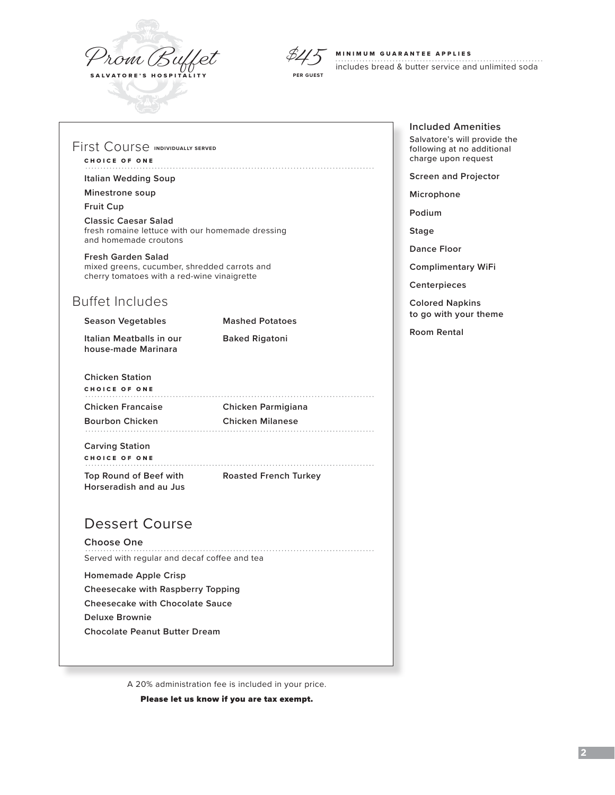



### MINIMUM GUARANTEE APPLIES

includes bread & butter service and unlimited soda

## First Course **INDIVIDUALLY SERVED**

# CHOICE OF ONE

## **Italian Wedding Soup**

## **Minestrone soup**

## **Fruit Cup**

**Classic Caesar Salad** fresh romaine lettuce with our homemade dressing and homemade croutons

## **Fresh Garden Salad**

mixed greens, cucumber, shredded carrots and cherry tomatoes with a red-wine vinaigrette

# Buffet Includes

| <b>Season Vegetables</b>                        | <b>Mashed Potatoes</b> |
|-------------------------------------------------|------------------------|
| Italian Meatballs in our<br>house-made Marinara | <b>Baked Rigatoni</b>  |

# **Chicken Station** CHOICE OF ONE **Chicken Francaise Chicken Parmigiana**

**Bourbon Chicken Chicken Milanese Carving Station**

# CHOICE OF ONE

**Top Round of Beef with Roasted French Turkey Horseradish and au Jus**

# Dessert Course

## **Choose One**

Served with regular and decaf coffee and tea

### **Homemade Apple Crisp**

**Cheesecake with Raspberry Topping**

**Cheesecake with Chocolate Sauce**

**Deluxe Brownie**

**Chocolate Peanut Butter Dream**

A 20% administration fee is included in your price.

Please let us know if you are tax exempt.

# **Included Amenities** Salvatore's will provide the

following at no additional charge upon request

**Screen and Projector**

**Microphone**

**Podium**

**Stage**

**Dance Floor**

**Complimentary WiFi**

**Centerpieces**

**Colored Napkins to go with your theme**

**Room Rental**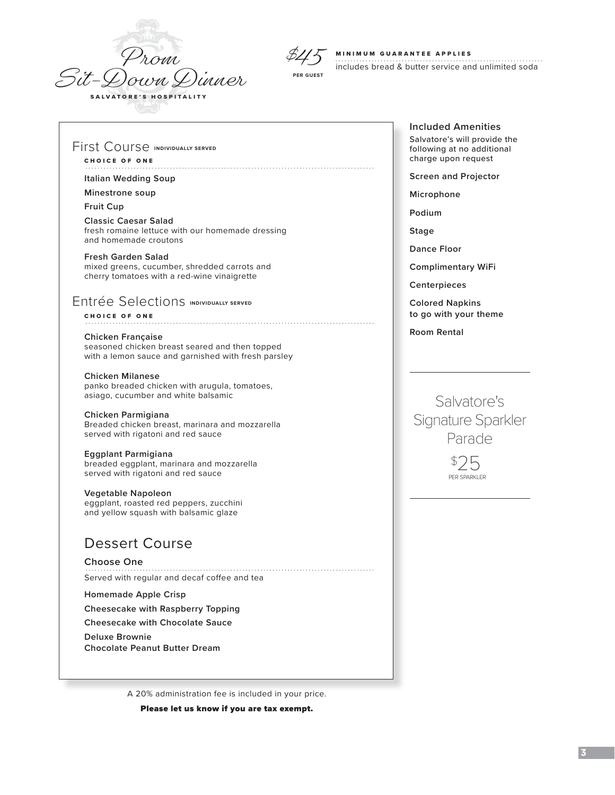



#### MINIMUM GUARANTEE APPLIES

includes bread & butter service and unlimited soda

## First Course **INDIVIDUALLY SERVED**

## CHOICE OF ONE

### **Italian Wedding Soup**

## **Minestrone soup**

### **Fruit Cup**

**Classic Caesar Salad** fresh romaine lettuce with our homemade dressing and homemade croutons

#### **Fresh Garden Salad**

mixed greens, cucumber, shredded carrots and cherry tomatoes with a red-wine vinaigrette

## **Entrée Selections INDIVIDUALLY SERVED**

CHOICE OF ONE

#### **Chicken Française**

seasoned chicken breast seared and then topped with a lemon sauce and garnished with fresh parsley

#### **Chicken Milanese**

panko breaded chicken with arugula, tomatoes, asiago, cucumber and white balsamic

#### **Chicken Parmigiana**

Breaded chicken breast, marinara and mozzarella served with rigatoni and red sauce

## **Eggplant Parmigiana**

breaded eggplant, marinara and mozzarella served with rigatoni and red sauce

#### **Vegetable Napoleon**

eggplant, roasted red peppers, zucchini and yellow squash with balsamic glaze

# Dessert Course

## **Choose One**

Served with regular and decaf coffee and tea

## **Homemade Apple Crisp**

**Cheesecake with Raspberry Topping**

**Cheesecake with Chocolate Sauce**

**Deluxe Brownie**

**Chocolate Peanut Butter Dream**

A 20% administration fee is included in your price.

Please let us know if you are tax exempt.

**Included Amenities** Salvatore's will provide the following at no additional

charge upon request **Screen and Projector**

**Microphone**

**Podium**

**Stage**

**Dance Floor**

**Complimentary WiFi**

**Centerpieces**

**Colored Napkins to go with your theme**

**Room Rental**

Salvatore's Signature Sparkler Parade

> \$ 25 PER SPARKLER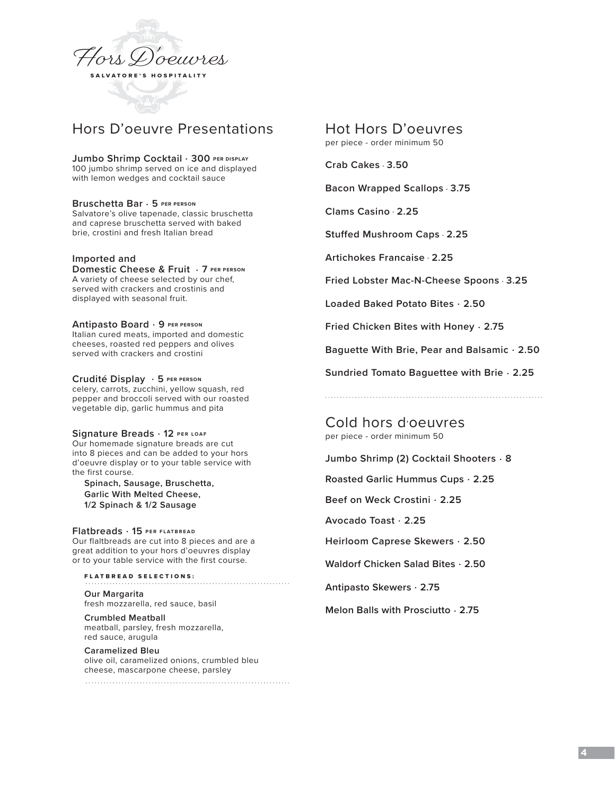

# Hors D'oeuvre Presentations

**Jumbo Shrimp Cocktail** . **300 PER DISPLAY** 100 jumbo shrimp served on ice and displayed with lemon wedges and cocktail sauce

**Bruschetta Bar** . **5 PER PERSON** Salvatore's olive tapenade, classic bruschetta and caprese bruschetta served with baked brie, crostini and fresh Italian bread

## **Imported and**

**Domestic Cheese & Fruit** . **7 PER PERSON** A variety of cheese selected by our chef, served with crackers and crostinis and displayed with seasonal fruit.

**Antipasto Board** . **9 PER PERSON** Italian cured meats, imported and domestic cheeses, roasted red peppers and olives served with crackers and crostini

**Crudité Display** . **5 PER PERSON** celery, carrots, zucchini, yellow squash, red pepper and broccoli served with our roasted vegetable dip, garlic hummus and pita

**Signature Breads** . **12 PER LOAF**

Our homemade signature breads are cut into 8 pieces and can be added to your hors d'oeuvre display or to your table service with the first course.

**Spinach, Sausage, Bruschetta, Garlic With Melted Cheese, 1/2 Spinach & 1/2 Sausage**

**Flatbreads** . **15 PER FLATBREAD** Our flaltbreads are cut into 8 pieces and are a

great addition to your hors d'oeuvres display or to your table service with the first course.

FLATBREAD SELECTIONS: **Our Margarita**  fresh mozzarella, red sauce, basil

**Crumbled Meatball**  meatball, parsley, fresh mozzarella, red sauce, arugula

**Caramelized Bleu** olive oil, caramelized onions, crumbled bleu cheese, mascarpone cheese, parsley Hot Hors D'oeuvres

per piece - order minimum 50

**Crab Cakes** . **3.50** 

**Bacon Wrapped Scallops** . **3.75**

**Clams Casino** . **2.25**

**Stuffed Mushroom Caps** . **2.25**

**Artichokes Francaise** . **2.25**

**Fried Lobster Mac-N-Cheese Spoons** . **3.25**

**Loaded Baked Potato Bites** . **2.50**

**Fried Chicken Bites with Honey** . **2.75**

**Baguette With Brie, Pear and Balsamic** . **2.50**

**Sundried Tomato Baguettee with Brie** . **2.25**

Cold hors d'oeuvres per piece - order minimum 50

**Jumbo Shrimp (2) Cocktail Shooters** . **8**

**Roasted Garlic Hummus Cups** . **2.25**

**Beef on Weck Crostini** . **2.25**

**Avocado Toast** . **2.25**

**Heirloom Caprese Skewers** . **2.50**

**Waldorf Chicken Salad Bites** . **2.50** 

**Antipasto Skewers** . **2.75** 

**Melon Balls with Prosciutto** . **2.75**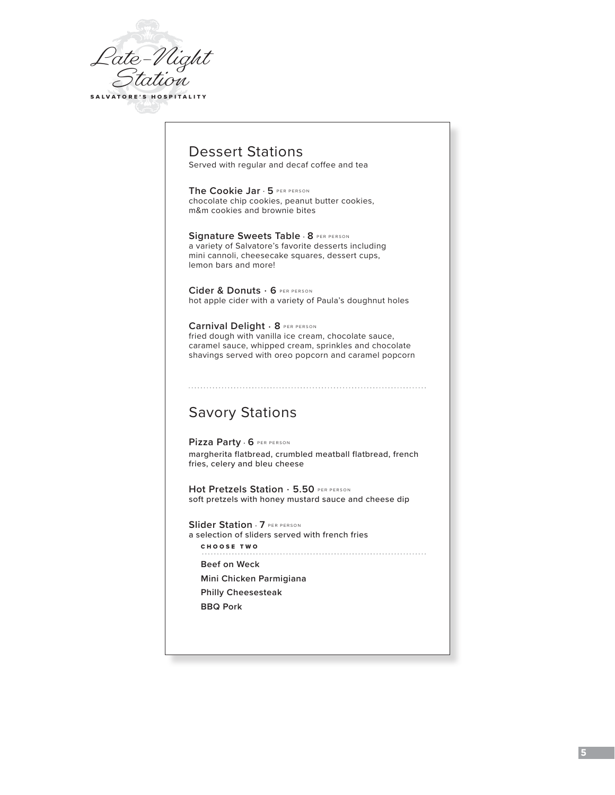

# Dessert Stations

Served with regular and decaf coffee and tea

**The Cookie Jar** . **5** PER PERSON chocolate chip cookies, peanut butter cookies, m&m cookies and brownie bites

**Signature Sweets Table** . **8** PER PERSON a variety of Salvatore's favorite desserts including mini cannoli, cheesecake squares, dessert cups, lemon bars and more!

**Cider & Donuts** . **6** PER PERSON hot apple cider with a variety of Paula's doughnut holes

**Carnival Delight** . **8** PER PERSON fried dough with vanilla ice cream, chocolate sauce, caramel sauce, whipped cream, sprinkles and chocolate shavings served with oreo popcorn and caramel popcorn

# Savory Stations

**Pizza Party** . **6** PER PERSON margherita flatbread, crumbled meatball flatbread, french fries, celery and bleu cheese

**Hot Pretzels Station** . **5.50** PER PERSON soft pretzels with honey mustard sauce and cheese dip

**Slider Station** . **7** PER PERSON a selection of sliders served with french fries CHOOSE TWO 

**Beef on Weck**

**Mini Chicken Parmigiana**

**Philly Cheesesteak**

**BBQ Pork**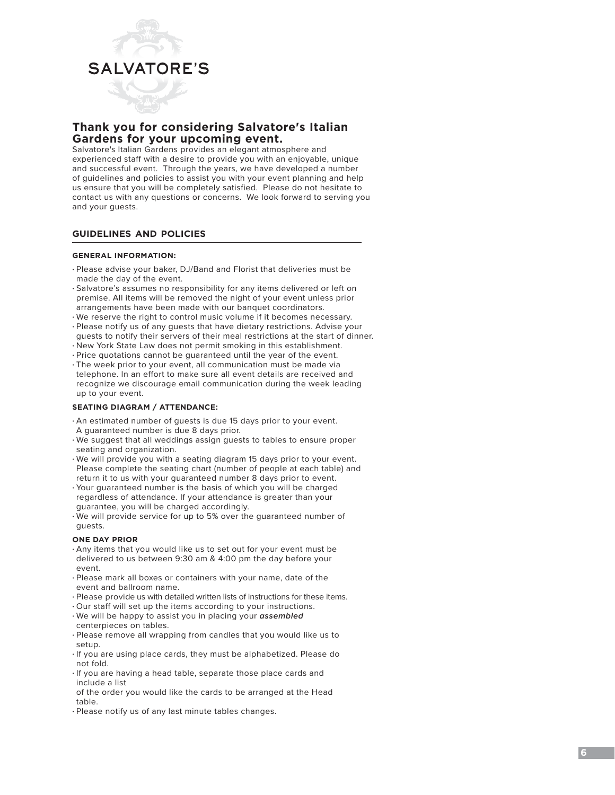

# **Thank you for considering Salvatore's Italian Gardens for your upcoming event.**

Salvatore's Italian Gardens provides an elegant atmosphere and experienced staff with a desire to provide you with an enjoyable, unique and successful event. Through the years, we have developed a number of guidelines and policies to assist you with your event planning and help us ensure that you will be completely satisfied. Please do not hesitate to contact us with any questions or concerns. We look forward to serving you and your guests.

# **guidelines and policies**

## **GENERAL INFORMATION:**

- Please advise your baker, DJ/Band and Florist that deliveries must be made the day of the event.
- Salvatore's assumes no responsibility for any items delivered or left on premise. All items will be removed the night of your event unless prior arrangements have been made with our banquet coordinators.
- We reserve the right to control music volume if it becomes necessary.
- Please notify us of any guests that have dietary restrictions. Advise your guests to notify their servers of their meal restrictions at the start of dinner.
- New York State Law does not permit smoking in this establishment.
- Price quotations cannot be guaranteed until the year of the event.
- The week prior to your event, all communication must be made via telephone. In an effort to make sure all event details are received and recognize we discourage email communication during the week leading up to your event.

## **SEATING DIAGRAM / ATTENDANCE:**

- An estimated number of guests is due 15 days prior to your event. A guaranteed number is due 8 days prior.
- We suggest that all weddings assign guests to tables to ensure proper seating and organization.
- We will provide you with a seating diagram 15 days prior to your event. Please complete the seating chart (number of people at each table) and return it to us with your guaranteed number 8 days prior to event.
- Your guaranteed number is the basis of which you will be charged regardless of attendance. If your attendance is greater than your guarantee, you will be charged accordingly.
- We will provide service for up to 5% over the guaranteed number of guests.

## **ONE DAY PRIOR**

- Any items that you would like us to set out for your event must be delivered to us between 9:30 am & 4:00 pm the day before your event.
- Please mark all boxes or containers with your name, date of the event and ballroom name.
- Please provide us with detailed written lists of instructions for these items.
- Our staff will set up the items according to your instructions. • We will be happy to assist you in placing your *assembled*
- centerpieces on tables. • Please remove all wrapping from candles that you would like us to
- setup.
- If you are using place cards, they must be alphabetized. Please do not fold.
- If you are having a head table, separate those place cards and include a list
- of the order you would like the cards to be arranged at the Head table.
- Please notify us of any last minute tables changes.